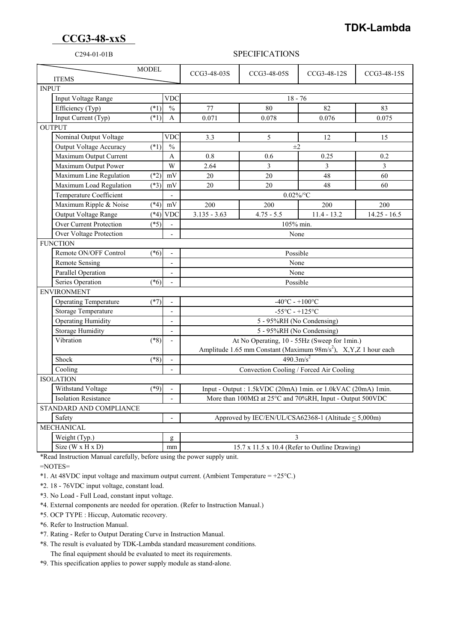## **TDK-Lambda**

## **CCG3-48-xxS**

### C294-01-01B SPECIFICATIONS

| <b>ITEMS</b>                |                                        | <b>MODEL</b>                                        |                          | CCG3-48-03S                                                                      | CCG3-48-05S    | CCG3-48-12S   | CCG3-48-15S    |  |
|-----------------------------|----------------------------------------|-----------------------------------------------------|--------------------------|----------------------------------------------------------------------------------|----------------|---------------|----------------|--|
| <b>INPUT</b>                |                                        |                                                     |                          |                                                                                  |                |               |                |  |
|                             | Input Voltage Range<br><b>VDC</b>      |                                                     |                          | $18 - 76$                                                                        |                |               |                |  |
|                             | Efficiency (Typ)                       | $(*1)$                                              | $\frac{0}{0}$            | 77                                                                               | 80             | 82            | 83             |  |
|                             | Input Current (Typ)                    | $(*1)$                                              | A                        | 0.071                                                                            | 0.078          | 0.076         | 0.075          |  |
| <b>OUTPUT</b>               |                                        |                                                     |                          |                                                                                  |                |               |                |  |
|                             | Nominal Output Voltage                 |                                                     | <b>VDC</b>               | 3.3                                                                              | $\mathfrak{S}$ | 12            | 15             |  |
|                             | Output Voltage Accuracy                | $(*1)$                                              | $\frac{0}{0}$            | $\pm 2$                                                                          |                |               |                |  |
|                             | Maximum Output Current                 |                                                     | A                        | 0.8                                                                              | 0.6            | 0.25          | 0.2            |  |
|                             | Maximum Output Power                   |                                                     | W                        | 2.64                                                                             | 3              | 3             | $\overline{3}$ |  |
|                             | Maximum Line Regulation                | $(*2)$                                              | mV                       | 20                                                                               | 20             | 48            | 60             |  |
|                             | Maximum Load Regulation                | $(*3)$                                              | mV                       | 20                                                                               | 20             | 48            | 60             |  |
|                             | Temperature Coefficient                |                                                     |                          | $0.02\%$ /°C                                                                     |                |               |                |  |
|                             | Maximum Ripple & Noise                 | $(*4)$                                              | $\rm mV$                 | 200                                                                              | 200            | 200           | 200            |  |
|                             | Output Voltage Range                   | $(*4)$                                              | <b>VDC</b>               | $3.135 - 3.63$                                                                   | $4.75 - 5.5$   | $11.4 - 13.2$ | $14.25 - 16.5$ |  |
|                             | <b>Over Current Protection</b>         | $(*5)$                                              |                          |                                                                                  | 105% min.      |               |                |  |
|                             | Over Voltage Protection                |                                                     |                          | None                                                                             |                |               |                |  |
| <b>FUNCTION</b>             |                                        |                                                     |                          |                                                                                  |                |               |                |  |
|                             | Remote ON/OFF Control                  | $(*6)$<br>Possible<br>$\mathbf{r}$                  |                          |                                                                                  |                |               |                |  |
|                             | <b>Remote Sensing</b>                  |                                                     | $\overline{\phantom{a}}$ | None                                                                             |                |               |                |  |
|                             | <b>Parallel Operation</b>              |                                                     | $\overline{\phantom{a}}$ | None                                                                             |                |               |                |  |
|                             | Series Operation                       | $(*6)$                                              |                          | Possible                                                                         |                |               |                |  |
| <b>ENVIRONMENT</b>          |                                        |                                                     |                          |                                                                                  |                |               |                |  |
|                             | <b>Operating Temperature</b><br>$(*7)$ |                                                     |                          | $-40^{\circ}$ C - $+100^{\circ}$ C                                               |                |               |                |  |
|                             | Storage Temperature                    |                                                     | $\overline{a}$           | $-55^{\circ}$ C - $+125^{\circ}$ C                                               |                |               |                |  |
|                             | <b>Operating Humidity</b>              |                                                     |                          | 5 - 95%RH (No Condensing)                                                        |                |               |                |  |
|                             | <b>Storage Humidity</b>                |                                                     | $\sim$                   | 5 - 95%RH (No Condensing)                                                        |                |               |                |  |
|                             | Vibration                              | $(*8)$                                              | $\overline{a}$           | At No Operating, 10 - 55Hz (Sweep for 1min.)                                     |                |               |                |  |
|                             |                                        |                                                     |                          | Amplitude 1.65 mm Constant (Maximum 98m/s <sup>2</sup> ), X,Y,Z 1 hour each      |                |               |                |  |
|                             | Shock                                  | $(*8)$                                              | $\overline{\phantom{a}}$ | $\frac{490.3 \text{m/s}^2}{a}$                                                   |                |               |                |  |
|                             | Cooling                                |                                                     |                          | Convection Cooling / Forced Air Cooling                                          |                |               |                |  |
| <b>ISOLATION</b>            |                                        |                                                     |                          |                                                                                  |                |               |                |  |
|                             | Withstand Voltage                      | $(*9)$                                              |                          | Input - Output: 1.5kVDC (20mA) 1min. or 1.0kVAC (20mA) 1min.                     |                |               |                |  |
| <b>Isolation Resistance</b> |                                        |                                                     |                          | More than $100M\Omega$ at $25^{\circ}$ C and $70\%$ RH, Input - Output $500$ VDC |                |               |                |  |
| STANDARD AND COMPLIANCE     |                                        |                                                     |                          |                                                                                  |                |               |                |  |
| Safety                      |                                        |                                                     |                          | Approved by IEC/EN/UL/CSA62368-1 (Altitude < 5,000m)                             |                |               |                |  |
| <b>MECHANICAL</b>           |                                        |                                                     |                          |                                                                                  |                |               |                |  |
|                             | Weight (Typ.)                          |                                                     | g                        | 3                                                                                |                |               |                |  |
|                             | Size ( $W \times H \times D$ )         | 15.7 x 11.5 x 10.4 (Refer to Outline Drawing)<br>mm |                          |                                                                                  |                |               |                |  |

\*Read Instruction Manual carefully, before using the power supply unit.

=NOTES=

\*1. At 48VDC input voltage and maximum output current. (Ambient Temperature =  $+25^{\circ}$ C.)

\*2. 18 - 76VDC input voltage, constant load.

\*3. No Load - Full Load, constant input voltage.

\*4. External components are needed for operation. (Refer to Instruction Manual.)

\*5. OCP TYPE : Hiccup, Automatic recovery.

\*6. Refer to Instruction Manual.

\*7. Rating - Refer to Output Derating Curve in Instruction Manual.

 \*8. The result is evaluated by TDK-Lambda standard measurement conditions. The final equipment should be evaluated to meet its requirements.

\*9. This specification applies to power supply module as stand-alone.